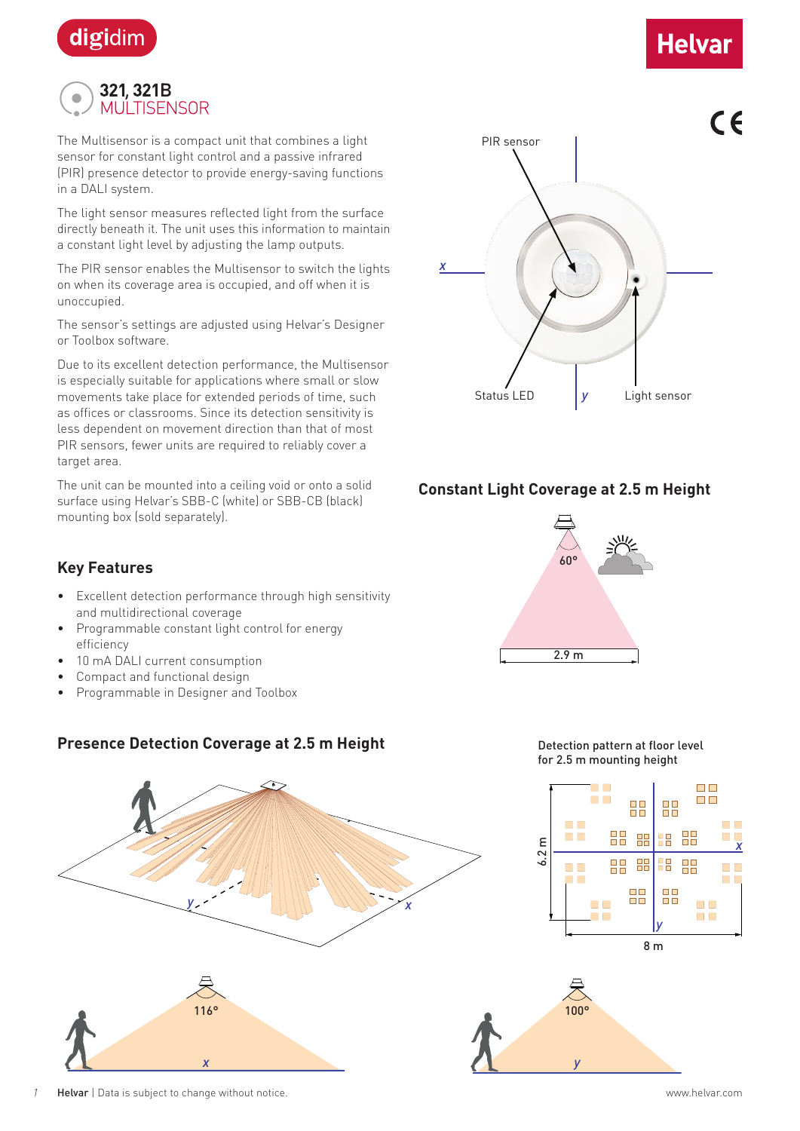

# **Helvar**



The Multisensor is a compact unit that combines a light sensor for constant light control and a passive infrared (PIR) presence detector to provide energy-saving functions in a DALI system.

The light sensor measures reflected light from the surface directly beneath it. The unit uses this information to maintain a constant light level by adjusting the lamp outputs.

The PIR sensor enables the Multisensor to switch the lights on when its coverage area is occupied, and off when it is unoccupied.

The sensor's settings are adjusted using Helvar's Designer or Toolbox software.

Due to its excellent detection performance, the Multisensor is especially suitable for applications where small or slow movements take place for extended periods of time, such as offices or classrooms. Since its detection sensitivity is less dependent on movement direction than that of most PIR sensors, fewer units are required to reliably cover a target area.

The unit can be mounted into a ceiling void or onto a solid surface using Helvar's SBB-C (white) or SBB-CB (black) mounting box (sold separately).



### **Constant Light Coverage at 2.5 m Height**

## **Key Features**

- Excellent detection performance through high sensitivity and multidirectional coverage
- Programmable constant light control for energy efficiency
- 10 mA DALI current consumption
- Compact and functional design
- Programmable in Designer and Toolbox

## **Presence Detection Coverage at 2.5 m Height**

*y x*  $\frac{1}{\sqrt{2}}$ 









*1* Helvar | Data is subject to change without notice. www.helvar.com

*x*